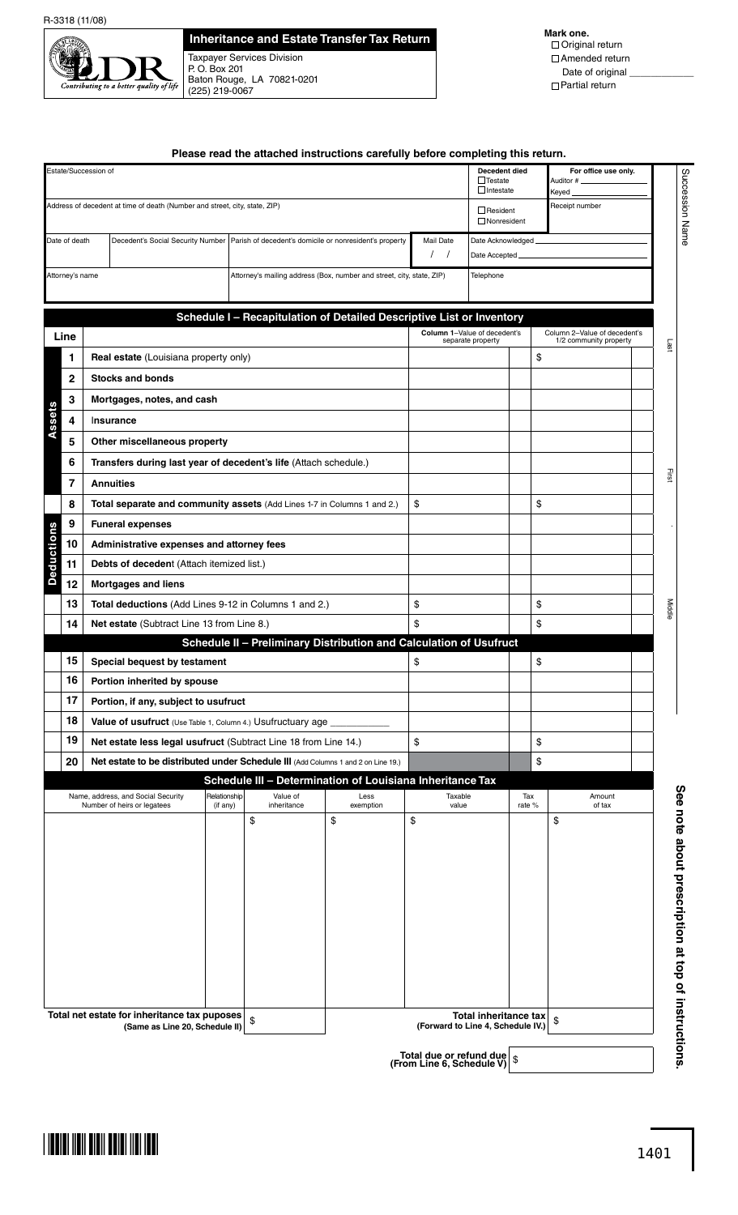

## **Inheritance and Estate Transfer Tax Return**

Taxpayer Services Division P. O. Box 201 Baton Rouge, LA 70821-0201 (225) 219-0067

**Mark one.** Original return Amended return Date of original Partial return

|                                                                            |  |                                                                                             |                          |                         | Please read the attached instructions carefully before completing this return. |                   |                                                            |               |                                                        |  |  |
|----------------------------------------------------------------------------|--|---------------------------------------------------------------------------------------------|--------------------------|-------------------------|--------------------------------------------------------------------------------|-------------------|------------------------------------------------------------|---------------|--------------------------------------------------------|--|--|
| Estate/Succession of                                                       |  |                                                                                             |                          |                         |                                                                                |                   | Decedent died<br>$\Box$ Testate<br>$\Box$ Intestate        |               | For office use only.<br>Auditor #_<br>Keyed_           |  |  |
| Address of decedent at time of death (Number and street, city, state, ZIP) |  |                                                                                             |                          |                         |                                                                                |                   | $\Box$ Resident<br>$\Box$ Nonresident                      |               | Receipt number                                         |  |  |
| Date of death                                                              |  | Decedent's Social Security Number   Parish of decedent's domicile or nonresident's property |                          |                         | Mail Date                                                                      | Date Acknowledged |                                                            |               |                                                        |  |  |
|                                                                            |  |                                                                                             |                          |                         |                                                                                |                   | $\sqrt{ }$<br>Date Accepted_                               |               |                                                        |  |  |
| Attorney's name                                                            |  |                                                                                             |                          |                         | Attorney's mailing address (Box, number and street, city, state, ZIP)          |                   | Telephone                                                  |               |                                                        |  |  |
|                                                                            |  |                                                                                             |                          |                         | Schedule I - Recapitulation of Detailed Descriptive List or Inventory          |                   |                                                            |               |                                                        |  |  |
| Line                                                                       |  |                                                                                             |                          |                         |                                                                                |                   | Column 1-Value of decedent's<br>separate property          |               | Column 2-Value of decedent's<br>1/2 community property |  |  |
| 1                                                                          |  | Real estate (Louisiana property only)                                                       |                          |                         |                                                                                |                   | \$                                                         |               |                                                        |  |  |
| $\mathbf{2}$                                                               |  | <b>Stocks and bonds</b>                                                                     |                          |                         |                                                                                |                   |                                                            |               |                                                        |  |  |
| 3                                                                          |  | Mortgages, notes, and cash                                                                  |                          |                         |                                                                                |                   |                                                            |               |                                                        |  |  |
| 4                                                                          |  | Insurance                                                                                   |                          |                         |                                                                                |                   |                                                            |               |                                                        |  |  |
| 5                                                                          |  | Other miscellaneous property                                                                |                          |                         |                                                                                |                   |                                                            |               |                                                        |  |  |
| 6                                                                          |  | Transfers during last year of decedent's life (Attach schedule.)                            |                          |                         |                                                                                |                   |                                                            |               |                                                        |  |  |
| $\overline{7}$                                                             |  | <b>Annuities</b>                                                                            |                          |                         |                                                                                |                   |                                                            |               |                                                        |  |  |
| 8                                                                          |  | Total separate and community assets (Add Lines 1-7 in Columns 1 and 2.)                     |                          |                         |                                                                                | \$                |                                                            | \$            |                                                        |  |  |
| 9                                                                          |  | <b>Funeral expenses</b>                                                                     |                          |                         |                                                                                |                   |                                                            |               |                                                        |  |  |
| 10                                                                         |  | Administrative expenses and attorney fees                                                   |                          |                         |                                                                                |                   |                                                            |               |                                                        |  |  |
| 11                                                                         |  | Debts of decedent (Attach itemized list.)                                                   |                          |                         |                                                                                |                   |                                                            |               |                                                        |  |  |
| 12                                                                         |  | <b>Mortgages and liens</b>                                                                  |                          |                         |                                                                                |                   |                                                            |               |                                                        |  |  |
| 13                                                                         |  | Total deductions (Add Lines 9-12 in Columns 1 and 2.)                                       |                          |                         |                                                                                | \$                | \$                                                         |               |                                                        |  |  |
| 14                                                                         |  | Net estate (Subtract Line 13 from Line 8.)                                                  |                          |                         |                                                                                | \$                | \$                                                         |               |                                                        |  |  |
|                                                                            |  |                                                                                             |                          |                         | Schedule II - Preliminary Distribution and Calculation of Usufruct             |                   |                                                            |               |                                                        |  |  |
| 15                                                                         |  | Special bequest by testament                                                                |                          |                         |                                                                                | \$                |                                                            | \$            |                                                        |  |  |
| 16                                                                         |  | Portion inherited by spouse                                                                 |                          |                         |                                                                                |                   |                                                            |               |                                                        |  |  |
| 17                                                                         |  | Portion, if any, subject to usufruct                                                        |                          |                         |                                                                                |                   |                                                            |               |                                                        |  |  |
| 18                                                                         |  | <b>Value of usufruct</b> (Use Table 1, Column 4.) Usufructuary age                          |                          |                         |                                                                                |                   |                                                            |               |                                                        |  |  |
| 19                                                                         |  | Net estate less legal usufruct (Subtract Line 18 from Line 14.)                             |                          |                         |                                                                                | \$                |                                                            | \$            |                                                        |  |  |
| 20                                                                         |  | Net estate to be distributed under Schedule III (Add Columns 1 and 2 on Line 19.)           |                          |                         |                                                                                |                   | \$                                                         |               |                                                        |  |  |
|                                                                            |  |                                                                                             |                          |                         | Schedule III - Determination of Louisiana Inheritance Tax                      |                   |                                                            |               |                                                        |  |  |
|                                                                            |  | Name, address, and Social Security<br>Number of heirs or legatees                           | Relationship<br>(if any) | Value of<br>inheritance | Less<br>exemption                                                              | Taxable<br>value  |                                                            | Tax<br>rate % | Amount<br>of tax                                       |  |  |
|                                                                            |  |                                                                                             |                          | \$                      | \$                                                                             | \$                |                                                            |               | \$                                                     |  |  |
|                                                                            |  |                                                                                             |                          |                         |                                                                                |                   |                                                            |               |                                                        |  |  |
|                                                                            |  |                                                                                             |                          |                         |                                                                                |                   |                                                            |               |                                                        |  |  |
|                                                                            |  |                                                                                             |                          |                         |                                                                                |                   |                                                            |               |                                                        |  |  |
|                                                                            |  |                                                                                             |                          |                         |                                                                                |                   |                                                            |               |                                                        |  |  |
|                                                                            |  |                                                                                             |                          |                         |                                                                                |                   |                                                            |               |                                                        |  |  |
|                                                                            |  |                                                                                             |                          |                         |                                                                                |                   |                                                            |               |                                                        |  |  |
|                                                                            |  |                                                                                             |                          |                         |                                                                                |                   |                                                            |               |                                                        |  |  |
|                                                                            |  |                                                                                             |                          |                         |                                                                                |                   |                                                            |               |                                                        |  |  |
|                                                                            |  |                                                                                             |                          |                         |                                                                                |                   |                                                            |               |                                                        |  |  |
|                                                                            |  |                                                                                             |                          |                         |                                                                                |                   |                                                            |               |                                                        |  |  |
|                                                                            |  | Total net estate for inheritance tax puposes<br>(Same as Line 20, Schedule II)              |                          | \$                      |                                                                                |                   | Total inheritance tax<br>(Forward to Line 4, Schedule IV.) |               | \$                                                     |  |  |

**Total due or refund due (From Line 6, Schedule V)** \$